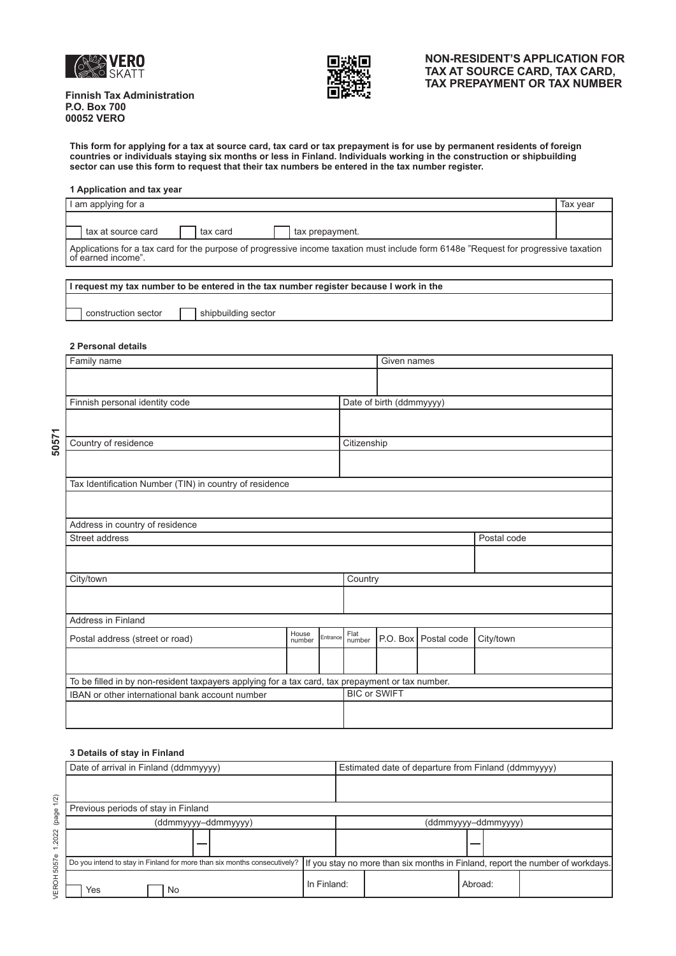



## **NON-RESIDENT'S APPLICATION FOR TAX AT SOURCE CARD, TAX CARD, TAX PREPAYMENT OR TAX NUMBER**

**Finnish Tax Administration P.O. Box 700 00052 VERO** 

**This form for applying for a tax at source card, tax card or tax prepayment is for use by permanent residents of foreign countries or individuals staying six months or less in Finland. Individuals working in the construction or shipbuilding sector can use this form to request that their tax numbers be entered in the tax number register.** 

#### **1 Application and tax year**

| I am applying for a                                                                                                                                        | Tax vear |  |  |  |  |
|------------------------------------------------------------------------------------------------------------------------------------------------------------|----------|--|--|--|--|
| tax at source card<br>tax card<br>tax prepayment.                                                                                                          |          |  |  |  |  |
| Applications for a tax card for the purpose of progressive income taxation must include form 6148e "Request for progressive taxation<br>of earned income". |          |  |  |  |  |

| I I request my tax number to be entered in the tax number register because I work in the |  |                     |  |  |  |
|------------------------------------------------------------------------------------------|--|---------------------|--|--|--|
|                                                                                          |  |                     |  |  |  |
| construction sector                                                                      |  | shipbuilding sector |  |  |  |

#### **2 Personal details**

| Family name                                                                                      |                          |             |         | Given names         |                        |           |  |  |
|--------------------------------------------------------------------------------------------------|--------------------------|-------------|---------|---------------------|------------------------|-----------|--|--|
|                                                                                                  |                          |             |         |                     |                        |           |  |  |
| Finnish personal identity code                                                                   | Date of birth (ddmmyyyy) |             |         |                     |                        |           |  |  |
|                                                                                                  |                          |             |         |                     |                        |           |  |  |
|                                                                                                  |                          |             |         |                     |                        |           |  |  |
| Country of residence                                                                             |                          | Citizenship |         |                     |                        |           |  |  |
|                                                                                                  |                          |             |         |                     |                        |           |  |  |
| Tax Identification Number (TIN) in country of residence                                          |                          |             |         |                     |                        |           |  |  |
|                                                                                                  |                          |             |         |                     |                        |           |  |  |
| Address in country of residence                                                                  |                          |             |         |                     |                        |           |  |  |
| Street address                                                                                   |                          |             |         | Postal code         |                        |           |  |  |
|                                                                                                  |                          |             |         |                     |                        |           |  |  |
| City/town                                                                                        |                          |             | Country |                     |                        |           |  |  |
|                                                                                                  |                          |             |         |                     |                        |           |  |  |
| Address in Finland                                                                               |                          |             |         |                     |                        |           |  |  |
| House<br>Entrance<br>Postal address (street or road)<br>number                                   |                          |             |         |                     | P.O. Box   Postal code | City/town |  |  |
|                                                                                                  |                          |             |         |                     |                        |           |  |  |
| To be filled in by non-resident taxpayers applying for a tax card, tax prepayment or tax number. |                          |             |         |                     |                        |           |  |  |
| IBAN or other international bank account number                                                  |                          |             |         | <b>BIC or SWIFT</b> |                        |           |  |  |
|                                                                                                  |                          |             |         |                     |                        |           |  |  |

### **3 Details of stay in Finland**

| 50571<br>Country of residence<br>Citizenship<br>Tax Identification Number (TIN) in country of residence<br>Address in country of residence<br>Street address<br>Postal code<br>City/town<br>Country<br>Address in Finland<br>Flat<br>House<br>Entrance<br>P.O. Box   Postal code<br>City/town<br>Postal address (street or road)<br>number<br>number<br>To be filled in by non-resident taxpayers applying for a tax card, tax prepayment or tax number.<br><b>BIC or SWIFT</b><br>IBAN or other international bank account number<br>3 Details of stay in Finland<br>Date of arrival in Finland (ddmmyyyy)<br>VEROH 5057e 1.2022 (page 1/2)<br>Previous periods of stay in Finland<br>(ddmmyyyy-ddmmyyyy)<br>(ddmmyyyy-ddmmyyyy) |                                                     |  |  |  |  |  |  |  |  |  |
|-----------------------------------------------------------------------------------------------------------------------------------------------------------------------------------------------------------------------------------------------------------------------------------------------------------------------------------------------------------------------------------------------------------------------------------------------------------------------------------------------------------------------------------------------------------------------------------------------------------------------------------------------------------------------------------------------------------------------------------|-----------------------------------------------------|--|--|--|--|--|--|--|--|--|
|                                                                                                                                                                                                                                                                                                                                                                                                                                                                                                                                                                                                                                                                                                                                   |                                                     |  |  |  |  |  |  |  |  |  |
|                                                                                                                                                                                                                                                                                                                                                                                                                                                                                                                                                                                                                                                                                                                                   |                                                     |  |  |  |  |  |  |  |  |  |
|                                                                                                                                                                                                                                                                                                                                                                                                                                                                                                                                                                                                                                                                                                                                   |                                                     |  |  |  |  |  |  |  |  |  |
|                                                                                                                                                                                                                                                                                                                                                                                                                                                                                                                                                                                                                                                                                                                                   |                                                     |  |  |  |  |  |  |  |  |  |
|                                                                                                                                                                                                                                                                                                                                                                                                                                                                                                                                                                                                                                                                                                                                   |                                                     |  |  |  |  |  |  |  |  |  |
|                                                                                                                                                                                                                                                                                                                                                                                                                                                                                                                                                                                                                                                                                                                                   |                                                     |  |  |  |  |  |  |  |  |  |
|                                                                                                                                                                                                                                                                                                                                                                                                                                                                                                                                                                                                                                                                                                                                   |                                                     |  |  |  |  |  |  |  |  |  |
|                                                                                                                                                                                                                                                                                                                                                                                                                                                                                                                                                                                                                                                                                                                                   |                                                     |  |  |  |  |  |  |  |  |  |
|                                                                                                                                                                                                                                                                                                                                                                                                                                                                                                                                                                                                                                                                                                                                   |                                                     |  |  |  |  |  |  |  |  |  |
|                                                                                                                                                                                                                                                                                                                                                                                                                                                                                                                                                                                                                                                                                                                                   |                                                     |  |  |  |  |  |  |  |  |  |
|                                                                                                                                                                                                                                                                                                                                                                                                                                                                                                                                                                                                                                                                                                                                   |                                                     |  |  |  |  |  |  |  |  |  |
|                                                                                                                                                                                                                                                                                                                                                                                                                                                                                                                                                                                                                                                                                                                                   |                                                     |  |  |  |  |  |  |  |  |  |
|                                                                                                                                                                                                                                                                                                                                                                                                                                                                                                                                                                                                                                                                                                                                   |                                                     |  |  |  |  |  |  |  |  |  |
|                                                                                                                                                                                                                                                                                                                                                                                                                                                                                                                                                                                                                                                                                                                                   |                                                     |  |  |  |  |  |  |  |  |  |
|                                                                                                                                                                                                                                                                                                                                                                                                                                                                                                                                                                                                                                                                                                                                   |                                                     |  |  |  |  |  |  |  |  |  |
|                                                                                                                                                                                                                                                                                                                                                                                                                                                                                                                                                                                                                                                                                                                                   |                                                     |  |  |  |  |  |  |  |  |  |
|                                                                                                                                                                                                                                                                                                                                                                                                                                                                                                                                                                                                                                                                                                                                   | Estimated date of departure from Finland (ddmmyyyy) |  |  |  |  |  |  |  |  |  |
|                                                                                                                                                                                                                                                                                                                                                                                                                                                                                                                                                                                                                                                                                                                                   |                                                     |  |  |  |  |  |  |  |  |  |
|                                                                                                                                                                                                                                                                                                                                                                                                                                                                                                                                                                                                                                                                                                                                   |                                                     |  |  |  |  |  |  |  |  |  |
|                                                                                                                                                                                                                                                                                                                                                                                                                                                                                                                                                                                                                                                                                                                                   |                                                     |  |  |  |  |  |  |  |  |  |
|                                                                                                                                                                                                                                                                                                                                                                                                                                                                                                                                                                                                                                                                                                                                   |                                                     |  |  |  |  |  |  |  |  |  |
| If you stay no more than six months in Finland, report the number of workdays.<br>Do you intend to stay in Finland for more than six months consecutively?                                                                                                                                                                                                                                                                                                                                                                                                                                                                                                                                                                        |                                                     |  |  |  |  |  |  |  |  |  |
| In Finland:<br>Abroad:<br>Yes<br>No                                                                                                                                                                                                                                                                                                                                                                                                                                                                                                                                                                                                                                                                                               |                                                     |  |  |  |  |  |  |  |  |  |

50571